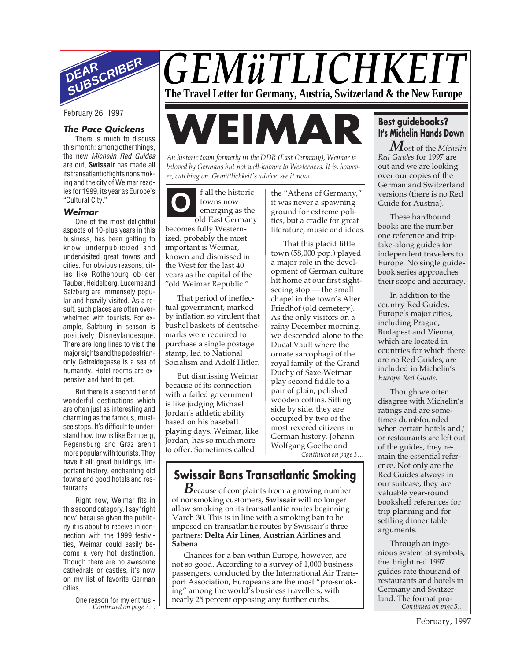

# **The Pace Quickens**

There is much to discuss this month: among other things, the new Michelin Red Guides are out, **Swissair** has made all its transatlantic flights nonsmoking and the city of Weimar readies for 1999, its year as Europe's "Cultural City."

#### **Weimar**

One of the most delightful aspects of 10-plus years in this business, has been getting to know underpublicized and undervisited great towns and cities. For obvious reasons, cities like Rothenburg ob der Tauber, Heidelberg, Lucerne and Salzburg are immensely popular and heavily visited. As a result, such places are often overwhelmed with tourists. For example, Salzburg in season is positively Disneylandesque. There are long lines to visit the major sights and the pedestrianonly Getreidegasse is a sea of humanity. Hotel rooms are expensive and hard to get.

But there is a second tier of wonderful destinations which are often just as interesting and charming as the famous, mustsee stops. It's difficult to understand how towns like Bamberg, Regensburg and Graz aren't more popular with tourists. They have it all; great buildings, important history, enchanting old towns and good hotels and restaurants.

Right now, Weimar fits in this second category. I say 'right now' because given the publicity it is about to receive in connection with the 1999 festivities, Weimar could easily become a very hot destination. Though there are no awesome cathedrals or castles, it's now on my list of favorite German cities.

One reason for my enthusi-<br>Continued on page 2...

# *GEMüTLICHKEIT* **The Travel Letter for Germany, Austria, Switzerland & the New Europe**

# February 26, 1997<br>There is much to discuss<br>this month: among other things,

*An historic town formerly in the DDR (East Germany), Weimar is beloved by Germans but not well-known to Westerners. It is, however, catching on. Gemütlichkeit's advice: see it now.*

**O** f all the historic towns now emerging as the old East Germany becomes fully Westernized, probably the most important is Weimar, known and dismissed in the West for the last 40 years as the capital of the "old Weimar Republic."

That period of ineffectual government, marked by inflation so virulent that bushel baskets of deutschemarks were required to purchase a single postage stamp, led to National Socialism and Adolf Hitler.

But dismissing Weimar because of its connection with a failed government is like judging Michael Jordan's athletic ability based on his baseball playing days. Weimar, like Jordan, has so much more to offer. Sometimes called

the "Athens of Germany," it was never a spawning ground for extreme politics, but a cradle for great literature, music and ideas.

That this placid little town (58,000 pop.) played a major role in the development of German culture hit home at our first sightseeing stop — the small chapel in the town's Alter Friedhof (old cemetery). As the only visitors on a rainy December morning, we descended alone to the Ducal Vault where the ornate sarcophagi of the royal family of the Grand Duchy of Saxe-Weimar play second fiddle to a pair of plain, polished wooden coffins. Sitting side by side, they are occupied by two of the most revered citizens in German history, Johann Wolfgang Goethe and *Continued on page 3…*

# **Swissair Bans Transatlantic Smoking**

*B*ecause of complaints from a growing number of nonsmoking customers, **Swissair** will no longer allow smoking on its transatlantic routes beginning March 30. This is in line with a smoking ban to be imposed on transatlantic routes by Swissair's three partners: **Delta Air Lines**, **Austrian Airlines** and **Sabena**.

Chances for a ban within Europe, however, are not so good. According to a survey of 1,000 business passengers, conducted by the International Air Transport Association, Europeans are the most "pro-smoking" among the world's business travellers, with nearly 25 percent opposing any further curbs.

# **Best guidebooks? It's Michelin Hands Down**

*M*ost of the *Michelin Red Guides* for 1997 are out and we are looking over our copies of the German and Switzerland versions (there is no Red Guide for Austria).

These hardbound books are the number one reference and triptake-along guides for independent travelers to Europe. No single guidebook series approaches their scope and accuracy.

In addition to the country Red Guides, Europe's major cities, including Prague, Budapest and Vienna, which are located in countries for which there are no Red Guides, are included in Michelin's *Europe Red Guide.*

Though we often disagree with Michelin's ratings and are sometimes dumbfounded when certain hotels and/ or restaurants are left out of the guides, they remain the essential reference. Not only are the Red Guides always in our suitcase, they are valuable year-round bookshelf references for trip planning and for settling dinner table arguments.

Through an ingenious system of symbols, the bright red 1997 guides rate thousand of restaurants and hotels in Germany and Switzerland. The format pro-*Continued on page 2… Continued on page 5…*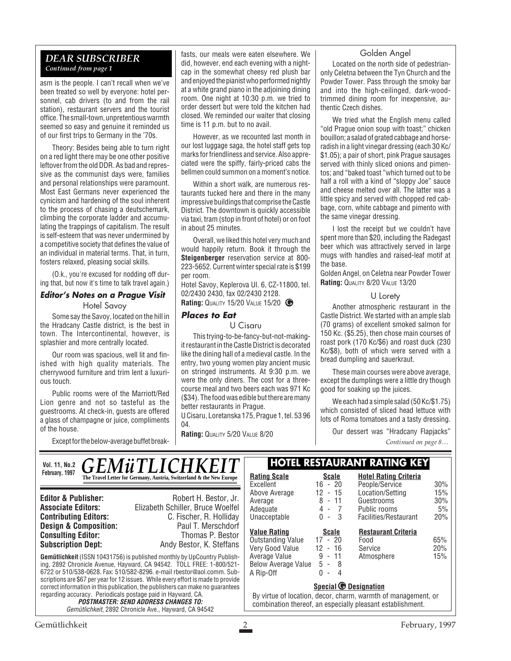#### *DEAR SUBSCRIBER Continued from page 1*

asm is the people. I can't recall when we've been treated so well by everyone: hotel personnel, cab drivers (to and from the rail station), restaurant servers and the tourist office. The small-town, unpretentious warmth seemed so easy and genuine it reminded us of our first trips to Germany in the '70s.

Theory: Besides being able to turn right on a red light there may be one other positive leftover from the old DDR. As bad and repressive as the communist days were, families and personal relationships were paramount. Most East Germans never experienced the cynicism and hardening of the soul inherent to the process of chasing a deutschemark, climbing the corporate ladder and accumulating the trappings of capitalism. The result is self-esteem that was never undermined by a competitive society that defines the value of an individual in material terms. That, in turn, fosters relaxed, pleasing social skills.

(O.k., you're excused for nodding off during that, but now it's time to talk travel again.)

#### **Editor's Notes on a Prague Visit** Hotel Savoy

Some say the Savoy, located on the hill in the Hradcany Castle district, is the best in town. The Intercontinental, however, is splashier and more centrally located.

Our room was spacious, well lit and finished with high quality materials. The cherrywood furniture and trim lent a luxurious touch.

Public rooms were of the Marriott/Red Lion genre and not so tasteful as the guestrooms. At check-in, guests are offered a glass of champagne or juice, compliments of the house.

Except for the below-average buffet break-

fasts, our meals were eaten elsewhere. We did, however, end each evening with a nightcap in the somewhat cheesy red plush bar and enjoyed the pianist who performed nightly at a white grand piano in the adjoining dining room. One night at 10:30 p.m. we tried to order dessert but were told the kitchen had closed. We reminded our waiter that closing time is 11 p.m. but to no avail.

However, as we recounted last month in our lost luggage saga, the hotel staff gets top marks for friendliness and service. Also appreciated were the spiffy, fairly-priced cabs the bellmen could summon on a moment's notice.

Within a short walk, are numerous restaurants tucked here and there in the many impressive buildings that comprise the Castle District. The downtown is quickly accessible via taxi, tram (stop in front of hotel) or on foot in about 25 minutes.

Overall, we liked this hotel very much and would happily return. Book it through the **Steigenberger** reservation service at 800- 223-5652. Current winter special rate is \$199 per room.

Hotel Savoy, Keplerova Ul. 6, CZ-11800, tel. 02/2430 2430, fax 02/2430 2128.

**Rating:** QUALITY 15/20 VALUE 15/20 **G**

#### **Places to Eat**

U Cisaru

This trying-to-be-fancy-but-not-makingit restaurant in the Castle District is decorated like the dining hall of a medieval castle. In the entry, two young women play ancient music on stringed instruments. At 9:30 p.m. we were the only diners. The cost for a threecourse meal and two beers each was 971 Kc (\$34). The food was edible but there are many better restaurants in Prague.

U Cisaru, Loretanska 175, Prague 1, tel. 53 96 04.

**Rating: QUALITY 5/20 VALUE 8/20** 

#### Golden Angel

Located on the north side of pedestrianonly Celetna between the Tyn Church and the Powder Tower. Pass through the smoky bar and into the high-ceilinged, dark-woodtrimmed dining room for inexpensive, authentic Czech dishes.

We tried what the English menu called "old Prague onion soup with toast;" chicken bouillon; a salad of grated cabbage and horseradish in a light vinegar dressing (each 30 Kc/ \$1.05); a pair of short, pink Prague sausages served with thinly sliced onions and pimentos; and "baked toast "which turned out to be half a roll with a kind of "sloppy Joe" sauce and cheese melted over all. The latter was a little spicy and served with chopped red cabbage, corn, white cabbage and pimento with the same vinegar dressing.

I lost the receipt but we couldn't have spent more than \$20, including the Radegast beer which was attractively served in large mugs with handles and raised-leaf motif at the base.

Golden Angel, on Celetna near Powder Tower **Rating: QUALITY 8/20 VALUE 13/20** 

#### U Lorety

Another atmospheric restaurant in the Castle District. We started with an ample slab (70 grams) of excellent smoked salmon for 150 Kc. (\$5.25), then chose main courses of roast pork (170 Kc/\$6) and roast duck (230 Kc/\$8), both of which were served with a bread dumpling and sauerkraut.

These main courses were above average, except the dumplings were a little dry though good for soaking up the juices.

We each had a simple salad (50 Kc/\$1.75) which consisted of sliced head lettuce with lots of Roma tomatoes and a tasty dressing.

Our dessert was "Hradcany Flapjacks" *Continued on page 8…*

| <b>GEMÜTLICHKEIT</b><br><b>Vol. 11, No.2</b>                                                                                                                                                                                                           |                                                                                                                                                                                                                                                                                                                                                                        | <b>HOTEL RESTAURANT RATING KEY</b>                                                                                                                          |                                                                                                                         |                                                                         |                         |
|--------------------------------------------------------------------------------------------------------------------------------------------------------------------------------------------------------------------------------------------------------|------------------------------------------------------------------------------------------------------------------------------------------------------------------------------------------------------------------------------------------------------------------------------------------------------------------------------------------------------------------------|-------------------------------------------------------------------------------------------------------------------------------------------------------------|-------------------------------------------------------------------------------------------------------------------------|-------------------------------------------------------------------------|-------------------------|
| February, 1997                                                                                                                                                                                                                                         | The Travel Letter for Germany, Austria, Switzerland & the New Europe                                                                                                                                                                                                                                                                                                   | <b>Rating Scale</b><br>Excellent                                                                                                                            | <b>Scale</b><br>$16 - 20$                                                                                               | <b>Hotel Rating Criteria</b><br>People/Service                          | 30%                     |
| <b>Editor &amp; Publisher:</b><br><b>Associate Editors:</b><br><b>Contributing Editors:</b><br><b>Design &amp; Composition:</b>                                                                                                                        | Robert H. Bestor, Jr.<br>Elizabeth Schiller, Bruce Woelfel<br>C. Fischer, R. Holliday<br>Paul T. Merschdorf                                                                                                                                                                                                                                                            | Above Average<br>Average<br>Adequate<br>Unacceptable                                                                                                        | 12<br>$-15$<br>8<br>$-11$<br>$\overline{7}$<br>$4 -$<br>- 3<br>0<br>$\blacksquare$                                      | Location/Setting<br>Guestrooms<br>Public rooms<br>Facilities/Restaurant | 15%<br>30%<br>5%<br>20% |
| <b>Consulting Editor:</b><br><b>Subscription Dept:</b>                                                                                                                                                                                                 | Thomas P. Bestor<br>Andy Bestor, K. Steffans<br><b>Gemütlichkeit</b> (ISSN 10431756) is published monthly by UpCountry Publish-<br>ing, 2892 Chronicle Avenue, Hayward, CA 94542. TOLL FREE: 1-800/521-<br>6722 or 510/538-0628, Fax: 510/582-8296, e-mail rbestor@aol.comm, Sub-<br>scriptions are \$67 per year for 12 issues. While every effort is made to provide | <b>Value Rating</b><br><b>Outstanding Value</b><br>Very Good Value<br>Average Value<br><b>Below Average Value</b><br>A Rip-Off                              | <b>Scale</b><br>$17 - 20$<br>$12 - 16$<br>$9 - 11$<br>$5 - 8$<br>$\Omega$<br>$\overline{4}$<br>$\overline{\phantom{a}}$ | <b>Restaurant Criteria</b><br>Food<br>Service<br>Atmosphere             | 65%<br>20%<br>15%       |
| correct information in this publication, the publishers can make no quarantees<br>regarding accuracy. Periodicals postage paid in Hayward, CA.<br><b>POSTMASTER: SEND ADDRESS CHANGES TO:</b><br>Gemütlichkeit, 2892 Chronicle Ave., Hayward, CA 94542 |                                                                                                                                                                                                                                                                                                                                                                        | Special <b>C</b> Designation<br>By virtue of location, decor, charm, warmth of management, or<br>combination thereof, an especially pleasant establishment. |                                                                                                                         |                                                                         |                         |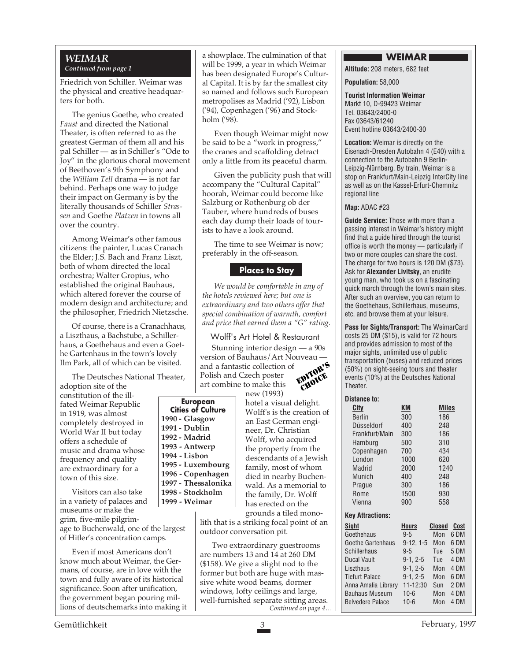#### *WEIMAR Continued from page 1*

Friedrich von Schiller. Weimar was the physical and creative headquarters for both.

The genius Goethe, who created *Faust* and directed the National Theater, is often referred to as the greatest German of them all and his pal Schiller — as in Schiller's "Ode to Joy" in the glorious choral movement of Beethoven's 9th Symphony and the *William Tell* drama — is not far behind. Perhaps one way to judge their impact on Germany is by the literally thousands of Schiller *Strassen* and Goethe *Platzen* in towns all over the country.

Among Weimar's other famous citizens: the painter, Lucas Cranach the Elder; J.S. Bach and Franz Liszt, both of whom directed the local orchestra; Walter Gropius, who established the original Bauhaus, which altered forever the course of modern design and architecture; and the philosopher, Friedrich Nietzsche.

Of course, there is a Cranachhaus, a Liszthaus, a Bachstube, a Schillerhaus, a Goethehaus and even a Goethe Gartenhaus in the town's lovely Ilm Park, all of which can be visited.

The Deutsches National Theater,

adoption site of the constitution of the illfated Weimar Republic in 1919, was almost completely destroyed in World War II but today offers a schedule of music and drama whose frequency and quality are extraordinary for a town of this size.

Visitors can also take in a variety of palaces and museums or make the grim, five-mile pilgrimage to Buchenwald, one of the largest of Hitler's concentration camps.

Even if most Americans don't know much about Weimar, the Germans, of course, are in love with the town and fully aware of its historical significance. Soon after unification, the government began pouring millions of deutschemarks into making it a showplace. The culmination of that will be 1999, a year in which Weimar has been designated Europe's Cultural Capital. It is by far the smallest city so named and follows such European metropolises as Madrid ('92), Lisbon ('94), Copenhagen ('96) and Stockholm ('98).

Even though Weimar might now be said to be a "work in progress," the cranes and scaffolding detract only a little from its peaceful charm.

Given the publicity push that will accompany the "Cultural Capital" hoorah, Weimar could become like Salzburg or Rothenburg ob der Tauber, where hundreds of buses each day dump their loads of tourists to have a look around.

The time to see Weimar is now; preferably in the off-season.

## **Places to Stay**

*We would be comfortable in any of the hotels reviewed here; but one is extraordinary and two others offer that special combination of warmth, comfort and price that earned them a "G" rating.*

#### Wolff's Art Hotel & Restaurant

Stunning interior design — a 90s version of Bauhaus/Art Nouveau and a fantastic collection of Polish and Czech poster art combine to make this new (1993)

**European Cities of Culture 1990 - Glasgow 1991 - Dublin 1992 - Madrid 1993 - Antwerp 1994 - Lisbon 1995 - Luxembourg 1996 - Copenhagen 1997 - Thessalonika 1998 - Stockholm 1999 - Weimar**



hotel a visual delight. Wolff's is the creation of an East German engineer, Dr. Christian Wolff, who acquired the property from the descendants of a Jewish family, most of whom died in nearby Buchenwald. As a memorial to the family, Dr. Wolff has erected on the grounds a tiled mono-

lith that is a striking focal point of an outdoor conversation pit.

*Continued on page 4…* Two extraordinary guestrooms are numbers 13 and 14 at 260 DM (\$158). We give a slight nod to the former but both are huge with massive white wood beams, dormer windows, lofty ceilings and large, well-furnished separate sitting areas.

# **WEIMAR**

**Altitude:** 208 meters, 682 feet

**Population:** 58,000

**Tourist Information Weimar** Markt 10, D-99423 Weimar Tel. 03643/2400-0 Fax 03643/61240 Event hotline 03643/2400-30

**Location:** Weimar is directly on the Eisenach-Dresden Autobahn 4 (E40) with a connection to the Autobahn 9 Berlin-Leipzig-Nürnberg. By train, Weimar is a stop on Frankfurt/Main-Leipzig InterCity line as well as on the Kassel-Erfurt-Chemnitz regional line

#### **Map:** ADAC #23

**Guide Service:** Those with more than a passing interest in Weimar's history might find that a guide hired through the tourist office is worth the money — particularly if two or more couples can share the cost. The charge for two hours is 120 DM (\$73). Ask for **Alexander Livitsky**, an erudite young man, who took us on a fascinating quick march through the town's main sites. After such an overview, you can return to the Goethehaus, Schillerhaus, museums, etc. and browse them at your leisure.

**Pass for Sights/Transport:** The WeimarCard costs 25 DM (\$15), is valid for 72 hours and provides admission to most of the major sights, unlimited use of public transportation (buses) and reduced prices (50%) on sight-seeing tours and theater events (10%) at the Deutsches National **Theater** 

#### **Distance to:**

|      | <b>Miles</b> |
|------|--------------|
|      |              |
| 300  | 186          |
| 400  | 248          |
| 300  | 186          |
| 500  | 310          |
| 700  | 434          |
| 1000 | 620          |
| 2000 | 1240         |
| 400  | 248          |
| 300  | 186          |
| 1500 | 930          |
| 900  | 558          |
|      | ΚM           |

#### **Key Attractions:**

| <b>Sight</b>            | <b>Hours</b>  | Closed | Cost |
|-------------------------|---------------|--------|------|
| Goethehaus              | $9 - 5$       | Mon    | 6 DM |
| Goethe Gartenhaus       | $9-12.1-5$    | Mon    | 6 DM |
| <b>Schillerhaus</b>     | $9 - 5$       | Tue    | 5 DM |
| Ducal Vault             | $9-1, 2-5$    | Tue    | 4 DM |
| Liszthaus               | $9 - 1.2 - 5$ | Mon    | 4 DM |
| <b>Tiefurt Palace</b>   | $9-1, 2-5$    | Mon    | 6 DM |
| Anna Amalia Library     | 11-12:30      | Sun    | 2 DM |
| <b>Bauhaus Museum</b>   | $10 - 6$      | Mon    | 4 DM |
| <b>Belvedere Palace</b> | $10 - 6$      | Mon    | 4 DM |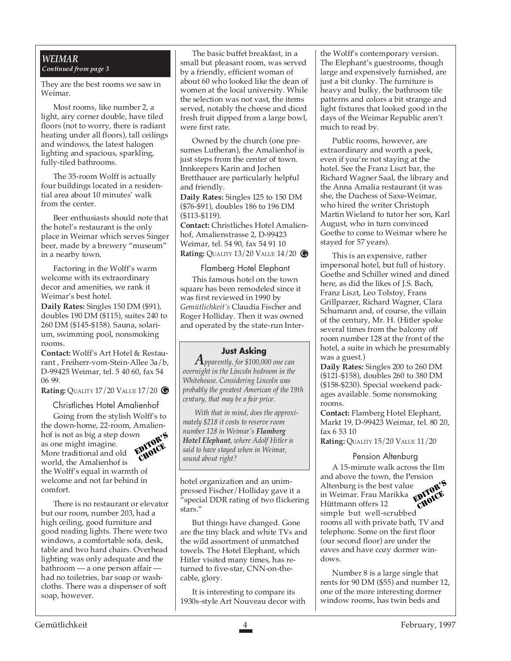#### *WEIMAR Continued from page 3*

They are the best rooms we saw in Weimar.

Most rooms, like number 2, a light, airy corner double, have tiled floors (not to worry, there is radiant heating under all floors), tall ceilings and windows, the latest halogen lighting and spacious, sparkling, fully-tiled bathrooms.

The 35-room Wolff is actually four buildings located in a residential area about 10 minutes' walk from the center.

Beer enthusiasts should note that the hotel's restaurant is the only place in Weimar which serves Singer beer, made by a brewery "museum" in a nearby town.

Factoring in the Wolff's warm welcome with its extraordinary decor and amenities, we rank it Weimar's best hotel.

**Daily Rates:** Singles 150 DM (\$91), doubles 190 DM (\$115), suites 240 to 260 DM (\$145-\$158). Sauna, solarium, swimming pool, nonsmoking rooms.

**Contact:** Wolff's Art Hotel & Restaurant , Freiherr-vom-Stein-Allee 3a/b, D-99425 Weimar, tel. 5 40 60, fax 54 06 99.

**Rating:** QUALITY 17/20 VALUE 17/20 **G**

#### Christliches Hotel Amalienhof

Going from the stylish Wolff's to the down-home, 22-room, Amalienhof is not as big a step down as one might imagine. More traditional and old world, the Amalienhof is the Wolff's equal in warmth of welcome and not far behind in comfort. EDITOR'S CHOICE

There is no restaurant or elevator but our room, number 203, had a high ceiling, good furniture and good reading lights. There were two windows, a comfortable sofa, desk, table and two hard chairs. Overhead lighting was only adequate and the bathroom — a one person affair had no toiletries, bar soap or washcloths. There was a dispenser of soft soap, however.

The basic buffet breakfast, in a small but pleasant room, was served by a friendly, efficient woman of about 60 who looked like the dean of women at the local university. While the selection was not vast, the items served, notably the cheese and diced fresh fruit dipped from a large bowl, were first rate.

Owned by the church (one presumes Lutheran), the Amalienhof is just steps from the center of town. Innkeepers Karin and Jochen Bretthauer are particularly helpful and friendly.

**Daily Rates:** Singles 125 to 150 DM (\$76-\$91), doubles 186 to 196 DM (\$113-\$119).

**Contact:** Christliches Hotel Amalienhof, Amalienstrasse 2, D-99423 Weimar, tel. 54 90, fax 54 91 10 **Rating:** QUALITY 13/20 VALUE 14/20 **G**

Flamberg Hotel Elephant This famous hotel on the town square has been remodeled since it was first reviewed in 1990 by *Gemütlichkeit's* Claudia Fischer and Roger Holliday. Then it was owned and operated by the state-run Inter-

# **Just Asking**

*Apparently, for \$100,000 one can overnight in the Lincoln bedroom in the Whitehouse. Considering Lincoln was probably the greatest American of the 19th century, that may be a fair price.*

*With that in mind, does the approximately \$218 it costs to reserve room number 128 in Weimar's Flamberg Hotel Elephant, where Adolf Hitler is said to have stayed when in Weimar, sound about right?*

hotel organization and an unimpressed Fischer/Holliday gave it a "special DDR rating of two flickering stars."

But things have changed. Gone are the tiny black and white TVs and the wild assortment of unmatched towels. The Hotel Elephant, which Hitler visited many times, has returned to five-star, CNN-on-thecable, glory.

It is interesting to compare its 1930s-style Art Nouveau decor with the Wolff's contemporary version. The Elephant's guestrooms, though large and expensively furnished, are just a bit clunky. The furniture is heavy and bulky, the bathroom tile patterns and colors a bit strange and light fixtures that looked good in the days of the Weimar Republic aren't much to read by.

Public rooms, however, are extraordinary and worth a peek, even if you're not staying at the hotel. See the Franz Liszt bar, the Richard Wagner Saal, the library and the Anna Amalia restaurant (it was she, the Duchess of Saxe-Weimar, who hired the writer Christoph Martin Wieland to tutor her son, Karl August, who in turn convinced Goethe to come to Weimar where he stayed for 57 years).

This is an expensive, rather impersonal hotel, but full of history. Goethe and Schiller wined and dined here, as did the likes of J.S. Bach, Franz Liszt, Leo Tolstoy, Frans Grillparzer, Richard Wagner, Clara Schumann and, of course, the villain of the century, Mr. H. (Hitler spoke several times from the balcony off room number 128 at the front of the hotel, a suite in which he presumably was a guest.)

**Daily Rates:** Singles 200 to 260 DM (\$121-\$158), doubles 260 to 380 DM (\$158-\$230). Special weekend packages available. Some nonsmoking rooms.

**Contact:** Flamberg Hotel Elephant, Markt 19, D-99423 Weimar, tel. 80 20, fax 6 53 10

**Rating:** QUALITY 15/20 VALUE 11/20

#### Pension Altenburg

A 15-minute walk across the Ilm and above the town, the Pension Altenburg is the best value in Weimar. Frau Marikka Altenburg is the best value<br>in Weimar. Frau Marikka<br>Hüttmann offers 12 simple but well-scrubbed rooms all with private bath, TV and telephone. Some on the first floor (our second floor) are under the eaves and have cozy dormer windows. CHOICE

Number 8 is a large single that rents for 90 DM (\$55) and number 12, one of the more interesting dormer window rooms, has twin beds and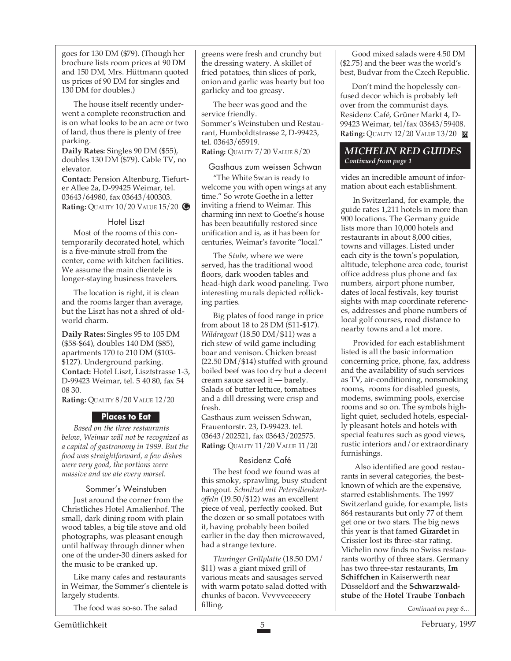goes for 130 DM (\$79). (Though her brochure lists room prices at 90 DM and 150 DM, Mrs. Hüttmann quoted us prices of 90 DM for singles and 130 DM for doubles.)

The house itself recently underwent a complete reconstruction and is on what looks to be an acre or two of land, thus there is plenty of free parking.

**Daily Rates:** Singles 90 DM (\$55), doubles 130 DM (\$79). Cable TV, no elevator.

**Contact:** Pension Altenburg, Tiefurter Allee 2a, D-99425 Weimar, tel. 03643/64980, fax 03643/400303. **Rating:** QUALITY 10/20 VALUE 15/20 **G**

#### Hotel Liszt

Most of the rooms of this contemporarily decorated hotel, which is a five-minute stroll from the center, come with kitchen facilities. We assume the main clientele is longer-staying business travelers.

The location is right, it is clean and the rooms larger than average, but the Liszt has not a shred of oldworld charm.

**Daily Rates:** Singles 95 to 105 DM (\$58-\$64), doubles 140 DM (\$85), apartments 170 to 210 DM (\$103- \$127). Underground parking. **Contact:** Hotel Liszt, Lisztstrasse 1-3, D-99423 Weimar, tel. 5 40 80, fax 54 08 30.

**Rating:** QUALITY 8/20 VALUE 12/20

#### **Places to Eat**

*Based on the three restaurants below, Weimar will not be recognized as a capital of gastronomy in 1999. But the food was straightforward, a few dishes were very good, the portions were massive and we ate every morsel.*

#### Sommer's Weinstuben

Just around the corner from the Christliches Hotel Amalienhof. The small, dark dining room with plain wood tables, a big tile stove and old photographs, was pleasant enough until halfway through dinner when one of the under-30 diners asked for the music to be cranked up.

Like many cafes and restaurants in Weimar, the Sommer's clientele is largely students.

The food was so-so. The salad

greens were fresh and crunchy but the dressing watery. A skillet of fried potatoes, thin slices of pork, onion and garlic was hearty but too garlicky and too greasy.

The beer was good and the service friendly. Sommer's Weinstuben und Restaurant, Humboldtstrasse 2, D-99423, tel. 03643/65919.

**Rating:** QUALITY 7/20 VALUE 8/20

#### Gasthaus zum weissen Schwan

"The White Swan is ready to welcome you with open wings at any time." So wrote Goethe in a letter inviting a friend to Weimar. This charming inn next to Goethe's house has been beautifully restored since unification and is, as it has been for centuries, Weimar's favorite "local."

The *Stube*, where we were served, has the traditional wood floors, dark wooden tables and head-high dark wood paneling. Two interesting murals depicted rollicking parties.

Big plates of food range in price from about 18 to 28 DM (\$11-\$17). *Wildragout* (18.50 DM/\$11) was a rich stew of wild game including boar and venison. Chicken breast (22.50 DM/\$14) stuffed with ground boiled beef was too dry but a decent cream sauce saved it — barely. Salads of butter lettuce, tomatoes and a dill dressing were crisp and fresh.

Gasthaus zum weissen Schwan, Frauentorstr. 23, D-99423. tel. 03643/202521, fax 03643/202575. **Rating:** QUALITY 11/20 VALUE 11/20

#### Residenz Café

The best food we found was at this smoky, sprawling, busy student hangout. *Schnitzel mit Petersilienkartoffeln* (19.50/\$12) was an excellent piece of veal, perfectly cooked. But the dozen or so small potatoes with it, having probably been boiled earlier in the day then microwaved, had a strange texture.

*Thuringer Grillplatte* (18.50 DM/ \$11) was a giant mixed grill of various meats and sausages served with warm potato salad dotted with chunks of bacon. Vvvvveeeeery filling.

Good mixed salads were 4.50 DM (\$2.75) and the beer was the world's best, Budvar from the Czech Republic.

Don't mind the hopelessly confused decor which is probably left over from the communist days. Residenz Café, Grüner Markt 4, D-99423 Weimar, tel/fax 03643/59408. **Rating:** QUALITY 12/20 VALUE 13/20

#### *MICHELIN RED GUIDES Continued from page 1*

vides an incredible amount of information about each establishment.

In Switzerland, for example, the guide rates 1,211 hotels in more than 900 locations. The Germany guide lists more than 10,000 hotels and restaurants in about 8,000 cities, towns and villages. Listed under each city is the town's population, altitude, telephone area code, tourist office address plus phone and fax numbers, airport phone number, dates of local festivals, key tourist sights with map coordinate references, addresses and phone numbers of local golf courses, road distance to nearby towns and a lot more.

Provided for each establishment listed is all the basic information concerning price, phone, fax, address and the availability of such services as TV, air-conditioning, nonsmoking rooms, rooms for disabled guests, modems, swimming pools, exercise rooms and so on. The symbols highlight quiet, secluded hotels, especially pleasant hotels and hotels with special features such as good views, rustic interiors and/or extraordinary furnishings.

 Also identified are good restaurants in several categories, the bestknown of which are the expensive, starred establishments. The 1997 Switzerland guide, for example, lists 864 restaurants but only 77 of them get one or two stars. The big news this year is that famed **Girardet** in Crissier lost its three-star rating. Michelin now finds no Swiss restaurants worthy of three stars. Germany has two three-star restaurants, **Im Schiffchen** in Kaiserwerth near Düsseldorf and the **Schwarzwaldstube** of the **Hotel Traube Tonbach**

*Continued on page 6…*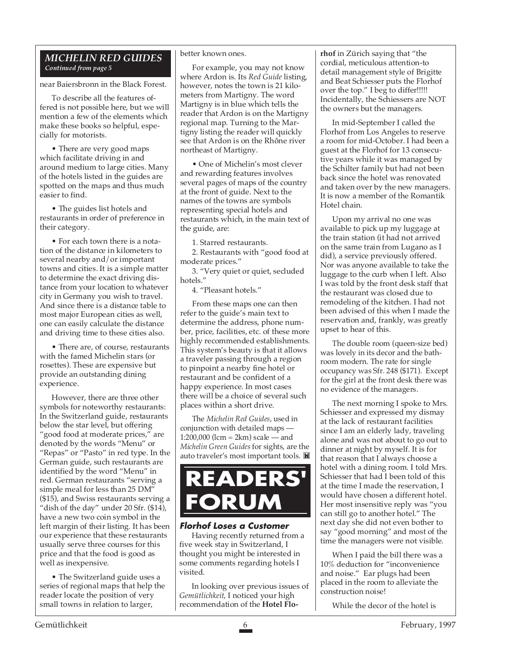#### *MICHELIN RED GUIDES Continued from page 5*

near Baiersbronn in the Black Forest.

To describe all the features offered is not possible here, but we will mention a few of the elements which make these books so helpful, especially for motorists.

• There are very good maps which facilitate driving in and around medium to large cities. Many of the hotels listed in the guides are spotted on the maps and thus much easier to find.

• The guides list hotels and restaurants in order of preference in their category.

• For each town there is a notation of the distance in kilometers to several nearby and/or important towns and cities. It is a simple matter to determine the exact driving distance from your location to whatever city in Germany you wish to travel. And since there is a distance table to most major European cities as well, one can easily calculate the distance and driving time to these cities also.

• There are, of course, restaurants with the famed Michelin stars (or rosettes). These are expensive but provide an outstanding dining experience.

However, there are three other symbols for noteworthy restaurants: In the Switzerland guide, restaurants below the star level, but offering "good food at moderate prices," are denoted by the words "Menu" or "Repas" or "Pasto" in red type. In the German guide, such restaurants are identified by the word "Menu" in red. German restaurants "serving a simple meal for less than 25 DM" (\$15), and Swiss restaurants serving a "dish of the day" under 20 Sfr.  $(\$14)$ , have a new two coin symbol in the left margin of their listing. It has been our experience that these restaurants usually serve three courses for this price and that the food is good as well as inexpensive.

• The Switzerland guide uses a series of regional maps that help the reader locate the position of very small towns in relation to larger,

#### better known ones.

For example, you may not know where Ardon is. Its *Red Guide* listing, however, notes the town is 21 kilometers from Martigny. The word Martigny is in blue which tells the reader that Ardon is on the Martigny regional map. Turning to the Martigny listing the reader will quickly see that Ardon is on the Rhône river northeast of Martigny.

• One of Michelin's most clever and rewarding features involves several pages of maps of the country at the front of guide. Next to the names of the towns are symbols representing special hotels and restaurants which, in the main text of the guide, are:

1. Starred restaurants.

2. Restaurants with "good food at moderate prices."

3. "Very quiet or quiet, secluded hotels."

4. "Pleasant hotels."

From these maps one can then refer to the guide's main text to determine the address, phone number, price, facilities, etc. of these more highly recommended establishments. This system's beauty is that it allows a traveler passing through a region to pinpoint a nearby fine hotel or restaurant and be confident of a happy experience. In most cases there will be a choice of several such places within a short drive.

The *Michelin Red Guides*, used in conjunction with detailed maps — 1:200,000 (lcm = 2km) scale — and *Michelin Green Guides* for sights, are the auto traveler's most important tools. 圖



#### **Florhof Loses a Customer**

Having recently returned from a five week stay in Switzerland, I thought you might be interested in some comments regarding hotels I visited.

In looking over previous issues of *Gemütlichkeit*, I noticed your high recommendation of the **Hotel Flo-** **rhof** in Zürich saying that "the cordial, meticulous attention-to detail management style of Brigitte and Beat Schiesser puts the Florhof over the top." I beg to differ!!!!! Incidentally, the Schiessers are NOT the owners but the managers.

In mid-September I called the Florhof from Los Angeles to reserve a room for mid-October. I had been a guest at the Florhof for 13 consecutive years while it was managed by the Schilter family but had not been back since the hotel was renovated and taken over by the new managers. It is now a member of the Romantik Hotel chain.

Upon my arrival no one was available to pick up my luggage at the train station (it had not arrived on the same train from Lugano as I did), a service previously offered. Nor was anyone available to take the luggage to the curb when I left. Also I was told by the front desk staff that the restaurant was closed due to remodeling of the kitchen. I had not been advised of this when I made the reservation and, frankly, was greatly upset to hear of this.

The double room (queen-size bed) was lovely in its decor and the bathroom modern. The rate for single occupancy was Sfr. 248 (\$171). Except for the girl at the front desk there was no evidence of the managers.

The next morning I spoke to Mrs. Schiesser and expressed my dismay at the lack of restaurant facilities since I am an elderly lady, traveling alone and was not about to go out to dinner at night by myself. It is for that reason that I always choose a hotel with a dining room. I told Mrs. Schiesser that had I been told of this at the time I made the reservation, I would have chosen a different hotel. Her most insensitive reply was "you can still go to another hotel." The next day she did not even bother to say "good morning" and most of the time the managers were not visible.

When I paid the bill there was a 10% deduction for "inconvenience and noise." Ear plugs had been placed in the room to alleviate the construction noise!

While the decor of the hotel is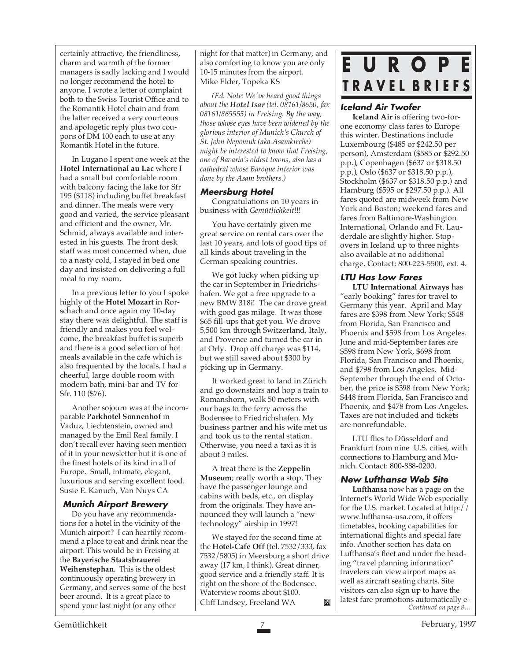certainly attractive, the friendliness, charm and warmth of the former managers is sadly lacking and I would no longer recommend the hotel to anyone. I wrote a letter of complaint both to the Swiss Tourist Office and to the Romantik Hotel chain and from the latter received a very courteous and apologetic reply plus two coupons of DM 100 each to use at any Romantik Hotel in the future.

In Lugano I spent one week at the **Hotel International au Lac** where I had a small but comfortable room with balcony facing the lake for Sfr 195 (\$118) including buffet breakfast and dinner. The meals were very good and varied, the service pleasant and efficient and the owner, Mr. Schmid, always available and interested in his guests. The front desk staff was most concerned when, due to a nasty cold, I stayed in bed one day and insisted on delivering a full meal to my room.

In a previous letter to you I spoke highly of the **Hotel Mozart** in Rorschach and once again my 10-day stay there was delightful. The staff is friendly and makes you feel welcome, the breakfast buffet is superb and there is a good selection of hot meals available in the cafe which is also frequented by the locals. I had a cheerful, large double room with modern bath, mini-bar and TV for Sfr. 110 (\$76).

Another sojourn was at the incomparable **Parkhotel Sonnenhof** in Vaduz, Liechtenstein, owned and managed by the Emil Real family. I don't recall ever having seen mention of it in your newsletter but it is one of the finest hotels of its kind in all of Europe. Small, intimate, elegant, luxurious and serving excellent food. Susie E. Kanuch, Van Nuys CA

#### **Munich Airport Brewery**

Do you have any recommendations for a hotel in the vicinity of the Munich airport? I can heartily recommend a place to eat and drink near the airport. This would be in Freising at the **Bayerische Staatsbrauerei Weihenstephan**. This is the oldest continuously operating brewery in Germany, and serves some of the best beer around. It is a great place to spend your last night (or any other

night for that matter) in Germany, and also comforting to know you are only 10-15 minutes from the airport. Mike Elder, Topeka KS

*(Ed. Note: We've heard good things about the Hotel Isar (tel. 08161/8650, fax 08161/865555) in Freising. By the way, those whose eyes have been widened by the glorious interior of Munich's Church of St. John Nepomuk (aka Asamkirche) might be interested to know that Freising, one of Bavaria's oldest towns, also has a cathedral whose Baroque interior was done by the Asam brothers.)*

#### **Meersburg Hotel**

Congratulations on 10 years in business with *Gemütlichkeit*!!!

You have certainly given me great service on rental cars over the last 10 years, and lots of good tips of all kinds about traveling in the German speaking countries.

We got lucky when picking up the car in September in Friedrichshafen. We got a free upgrade to a new BMW 318i! The car drove great with good gas milage. It was those \$65 fill-ups that get you. We drove 5,500 km through Switzerland, Italy, and Provence and turned the car in at Orly. Drop off charge was \$114, but we still saved about \$300 by picking up in Germany.

It worked great to land in Zürich and go downstairs and hop a train to Romanshorn, walk 50 meters with our bags to the ferry across the Bodensee to Friedrichshafen. My business partner and his wife met us and took us to the rental station. Otherwise, you need a taxi as it is about 3 miles.

A treat there is the **Zeppelin Museum**; really worth a stop. They have the passenger lounge and cabins with beds, etc., on display from the originals. They have announced they will launch a "new technology" airship in 1997!

We stayed for the second time at the **Hotel-Cafe Off** (tel. 7532/333, fax 7532/5805) in Meersburg a short drive away (17 km, I think). Great dinner, good service and a friendly staff. It is right on the shore of the Bodensee. Waterview rooms about \$100. Cliff Lindsey, Freeland WA M

# **E U R O P E T R A V E L B R I E F S**

# **Iceland Air Twofer**

**Iceland Air** is offering two-forone economy class fares to Europe this winter. Destinations include Luxembourg (\$485 or \$242.50 per person), Amsterdam (\$585 or \$292.50 p.p.), Copenhagen (\$637 or \$318.50 p.p.), Oslo (\$637 or \$318.50 p.p.), Stockholm (\$637 or \$318.50 p.p.) and Hamburg (\$595 or \$297.50 p.p.). All fares quoted are midweek from New York and Boston; weekend fares and fares from Baltimore-Washington International, Orlando and Ft. Lauderdale are slightly higher. Stopovers in Iceland up to three nights also available at no additional charge. Contact: 800-223-5500, ext. 4.

## **LTU Has Low Fares**

**LTU International Airways** has "early booking" fares for travel to Germany this year. April and May fares are \$398 from New York; \$548 from Florida, San Francisco and Phoenix and \$598 from Los Angeles. June and mid-September fares are \$598 from New York, \$698 from Florida, San Francisco and Phoenix, and \$798 from Los Angeles. Mid-September through the end of October, the price is \$398 from New York; \$448 from Florida, San Francisco and Phoenix, and \$478 from Los Angeles. Taxes are not included and tickets are nonrefundable.

LTU flies to Düsseldorf and Frankfurt from nine U.S. cities, with connections to Hamburg and Munich. Contact: 800-888-0200.

#### **New Lufthansa Web Site**

**Lufthansa** now has a page on the Internet's World Wide Web especially for the U.S. market. Located at http:// www.lufthansa-usa.com, it offers timetables, booking capabilities for international flights and special fare info. Another section has data on Lufthansa's fleet and under the heading "travel planning information" travelers can view airport maps as well as aircraft seating charts. Site visitors can also sign up to have the latest fare promotions automatically e-*Continued on page 8…*